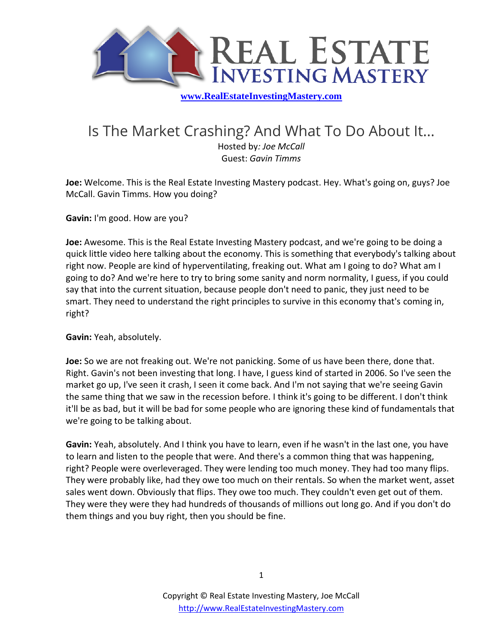

## Is The Market Crashing? And What To Do About It...

Hosted by*: Joe McCall* Guest: *Gavin Timms*

**Joe:** Welcome. This is the Real Estate Investing Mastery podcast. Hey. What's going on, guys? Joe McCall. Gavin Timms. How you doing?

**Gavin:** I'm good. How are you?

**Joe:** Awesome. This is the Real Estate Investing Mastery podcast, and we're going to be doing a quick little video here talking about the economy. This is something that everybody's talking about right now. People are kind of hyperventilating, freaking out. What am I going to do? What am I going to do? And we're here to try to bring some sanity and norm normality, I guess, if you could say that into the current situation, because people don't need to panic, they just need to be smart. They need to understand the right principles to survive in this economy that's coming in, right?

**Gavin:** Yeah, absolutely.

**Joe:** So we are not freaking out. We're not panicking. Some of us have been there, done that. Right. Gavin's not been investing that long. I have, I guess kind of started in 2006. So I've seen the market go up, I've seen it crash, I seen it come back. And I'm not saying that we're seeing Gavin the same thing that we saw in the recession before. I think it's going to be different. I don't think it'll be as bad, but it will be bad for some people who are ignoring these kind of fundamentals that we're going to be talking about.

**Gavin:** Yeah, absolutely. And I think you have to learn, even if he wasn't in the last one, you have to learn and listen to the people that were. And there's a common thing that was happening, right? People were overleveraged. They were lending too much money. They had too many flips. They were probably like, had they owe too much on their rentals. So when the market went, asset sales went down. Obviously that flips. They owe too much. They couldn't even get out of them. They were they were they had hundreds of thousands of millions out long go. And if you don't do them things and you buy right, then you should be fine.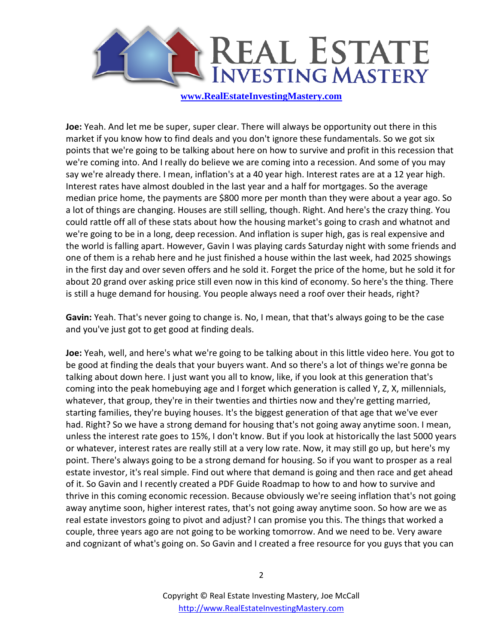

**Joe:** Yeah. And let me be super, super clear. There will always be opportunity out there in this market if you know how to find deals and you don't ignore these fundamentals. So we got six points that we're going to be talking about here on how to survive and profit in this recession that we're coming into. And I really do believe we are coming into a recession. And some of you may say we're already there. I mean, inflation's at a 40 year high. Interest rates are at a 12 year high. Interest rates have almost doubled in the last year and a half for mortgages. So the average median price home, the payments are \$800 more per month than they were about a year ago. So a lot of things are changing. Houses are still selling, though. Right. And here's the crazy thing. You could rattle off all of these stats about how the housing market's going to crash and whatnot and we're going to be in a long, deep recession. And inflation is super high, gas is real expensive and the world is falling apart. However, Gavin I was playing cards Saturday night with some friends and one of them is a rehab here and he just finished a house within the last week, had 2025 showings in the first day and over seven offers and he sold it. Forget the price of the home, but he sold it for about 20 grand over asking price still even now in this kind of economy. So here's the thing. There is still a huge demand for housing. You people always need a roof over their heads, right?

**Gavin:** Yeah. That's never going to change is. No, I mean, that that's always going to be the case and you've just got to get good at finding deals.

**Joe:** Yeah, well, and here's what we're going to be talking about in this little video here. You got to be good at finding the deals that your buyers want. And so there's a lot of things we're gonna be talking about down here. I just want you all to know, like, if you look at this generation that's coming into the peak homebuying age and I forget which generation is called Y, Z, X, millennials, whatever, that group, they're in their twenties and thirties now and they're getting married, starting families, they're buying houses. It's the biggest generation of that age that we've ever had. Right? So we have a strong demand for housing that's not going away anytime soon. I mean, unless the interest rate goes to 15%, I don't know. But if you look at historically the last 5000 years or whatever, interest rates are really still at a very low rate. Now, it may still go up, but here's my point. There's always going to be a strong demand for housing. So if you want to prosper as a real estate investor, it's real simple. Find out where that demand is going and then race and get ahead of it. So Gavin and I recently created a PDF Guide Roadmap to how to and how to survive and thrive in this coming economic recession. Because obviously we're seeing inflation that's not going away anytime soon, higher interest rates, that's not going away anytime soon. So how are we as real estate investors going to pivot and adjust? I can promise you this. The things that worked a couple, three years ago are not going to be working tomorrow. And we need to be. Very aware and cognizant of what's going on. So Gavin and I created a free resource for you guys that you can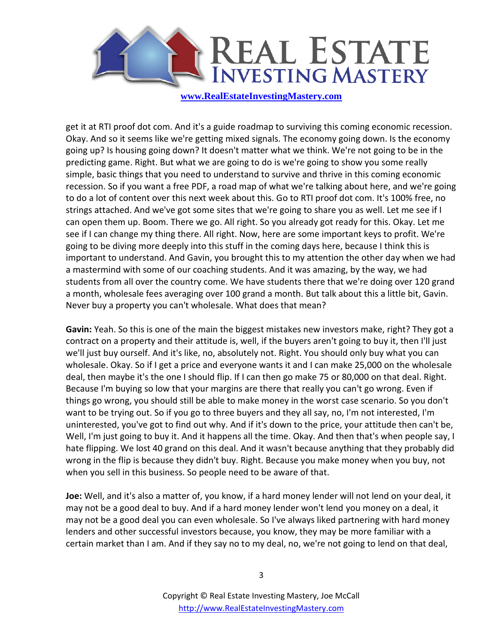

get it at RTI proof dot com. And it's a guide roadmap to surviving this coming economic recession. Okay. And so it seems like we're getting mixed signals. The economy going down. Is the economy going up? Is housing going down? It doesn't matter what we think. We're not going to be in the predicting game. Right. But what we are going to do is we're going to show you some really simple, basic things that you need to understand to survive and thrive in this coming economic recession. So if you want a free PDF, a road map of what we're talking about here, and we're going to do a lot of content over this next week about this. Go to RTI proof dot com. It's 100% free, no strings attached. And we've got some sites that we're going to share you as well. Let me see if I can open them up. Boom. There we go. All right. So you already got ready for this. Okay. Let me see if I can change my thing there. All right. Now, here are some important keys to profit. We're going to be diving more deeply into this stuff in the coming days here, because I think this is important to understand. And Gavin, you brought this to my attention the other day when we had a mastermind with some of our coaching students. And it was amazing, by the way, we had students from all over the country come. We have students there that we're doing over 120 grand a month, wholesale fees averaging over 100 grand a month. But talk about this a little bit, Gavin. Never buy a property you can't wholesale. What does that mean?

**Gavin:** Yeah. So this is one of the main the biggest mistakes new investors make, right? They got a contract on a property and their attitude is, well, if the buyers aren't going to buy it, then I'll just we'll just buy ourself. And it's like, no, absolutely not. Right. You should only buy what you can wholesale. Okay. So if I get a price and everyone wants it and I can make 25,000 on the wholesale deal, then maybe it's the one I should flip. If I can then go make 75 or 80,000 on that deal. Right. Because I'm buying so low that your margins are there that really you can't go wrong. Even if things go wrong, you should still be able to make money in the worst case scenario. So you don't want to be trying out. So if you go to three buyers and they all say, no, I'm not interested, I'm uninterested, you've got to find out why. And if it's down to the price, your attitude then can't be, Well, I'm just going to buy it. And it happens all the time. Okay. And then that's when people say, I hate flipping. We lost 40 grand on this deal. And it wasn't because anything that they probably did wrong in the flip is because they didn't buy. Right. Because you make money when you buy, not when you sell in this business. So people need to be aware of that.

**Joe:** Well, and it's also a matter of, you know, if a hard money lender will not lend on your deal, it may not be a good deal to buy. And if a hard money lender won't lend you money on a deal, it may not be a good deal you can even wholesale. So I've always liked partnering with hard money lenders and other successful investors because, you know, they may be more familiar with a certain market than I am. And if they say no to my deal, no, we're not going to lend on that deal,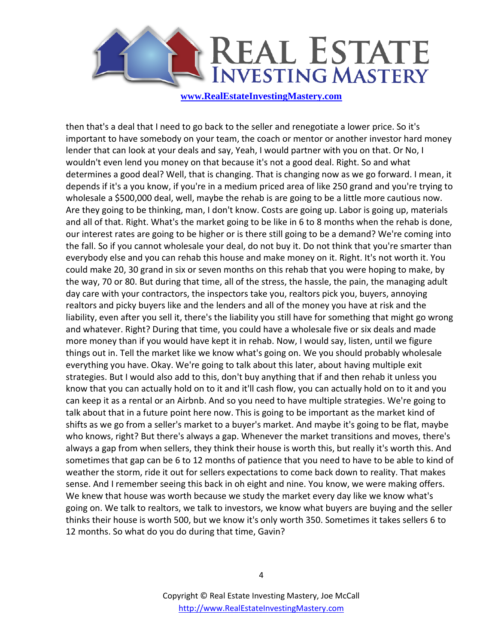

then that's a deal that I need to go back to the seller and renegotiate a lower price. So it's important to have somebody on your team, the coach or mentor or another investor hard money lender that can look at your deals and say, Yeah, I would partner with you on that. Or No, I wouldn't even lend you money on that because it's not a good deal. Right. So and what determines a good deal? Well, that is changing. That is changing now as we go forward. I mean, it depends if it's a you know, if you're in a medium priced area of like 250 grand and you're trying to wholesale a \$500,000 deal, well, maybe the rehab is are going to be a little more cautious now. Are they going to be thinking, man, I don't know. Costs are going up. Labor is going up, materials and all of that. Right. What's the market going to be like in 6 to 8 months when the rehab is done, our interest rates are going to be higher or is there still going to be a demand? We're coming into the fall. So if you cannot wholesale your deal, do not buy it. Do not think that you're smarter than everybody else and you can rehab this house and make money on it. Right. It's not worth it. You could make 20, 30 grand in six or seven months on this rehab that you were hoping to make, by the way, 70 or 80. But during that time, all of the stress, the hassle, the pain, the managing adult day care with your contractors, the inspectors take you, realtors pick you, buyers, annoying realtors and picky buyers like and the lenders and all of the money you have at risk and the liability, even after you sell it, there's the liability you still have for something that might go wrong and whatever. Right? During that time, you could have a wholesale five or six deals and made more money than if you would have kept it in rehab. Now, I would say, listen, until we figure things out in. Tell the market like we know what's going on. We you should probably wholesale everything you have. Okay. We're going to talk about this later, about having multiple exit strategies. But I would also add to this, don't buy anything that if and then rehab it unless you know that you can actually hold on to it and it'll cash flow, you can actually hold on to it and you can keep it as a rental or an Airbnb. And so you need to have multiple strategies. We're going to talk about that in a future point here now. This is going to be important as the market kind of shifts as we go from a seller's market to a buyer's market. And maybe it's going to be flat, maybe who knows, right? But there's always a gap. Whenever the market transitions and moves, there's always a gap from when sellers, they think their house is worth this, but really it's worth this. And sometimes that gap can be 6 to 12 months of patience that you need to have to be able to kind of weather the storm, ride it out for sellers expectations to come back down to reality. That makes sense. And I remember seeing this back in oh eight and nine. You know, we were making offers. We knew that house was worth because we study the market every day like we know what's going on. We talk to realtors, we talk to investors, we know what buyers are buying and the seller thinks their house is worth 500, but we know it's only worth 350. Sometimes it takes sellers 6 to 12 months. So what do you do during that time, Gavin?

4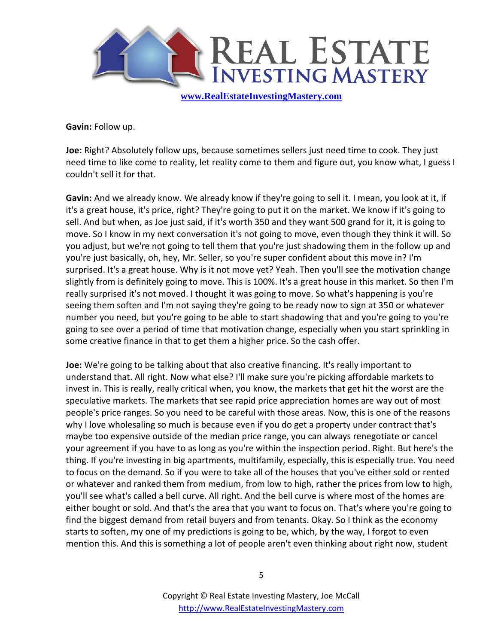

**Gavin:** Follow up.

**Joe:** Right? Absolutely follow ups, because sometimes sellers just need time to cook. They just need time to like come to reality, let reality come to them and figure out, you know what, I guess I couldn't sell it for that.

**Gavin:** And we already know. We already know if they're going to sell it. I mean, you look at it, if it's a great house, it's price, right? They're going to put it on the market. We know if it's going to sell. And but when, as Joe just said, if it's worth 350 and they want 500 grand for it, it is going to move. So I know in my next conversation it's not going to move, even though they think it will. So you adjust, but we're not going to tell them that you're just shadowing them in the follow up and you're just basically, oh, hey, Mr. Seller, so you're super confident about this move in? I'm surprised. It's a great house. Why is it not move yet? Yeah. Then you'll see the motivation change slightly from is definitely going to move. This is 100%. It's a great house in this market. So then I'm really surprised it's not moved. I thought it was going to move. So what's happening is you're seeing them soften and I'm not saying they're going to be ready now to sign at 350 or whatever number you need, but you're going to be able to start shadowing that and you're going to you're going to see over a period of time that motivation change, especially when you start sprinkling in some creative finance in that to get them a higher price. So the cash offer.

**Joe:** We're going to be talking about that also creative financing. It's really important to understand that. All right. Now what else? I'll make sure you're picking affordable markets to invest in. This is really, really critical when, you know, the markets that get hit the worst are the speculative markets. The markets that see rapid price appreciation homes are way out of most people's price ranges. So you need to be careful with those areas. Now, this is one of the reasons why I love wholesaling so much is because even if you do get a property under contract that's maybe too expensive outside of the median price range, you can always renegotiate or cancel your agreement if you have to as long as you're within the inspection period. Right. But here's the thing. If you're investing in big apartments, multifamily, especially, this is especially true. You need to focus on the demand. So if you were to take all of the houses that you've either sold or rented or whatever and ranked them from medium, from low to high, rather the prices from low to high, you'll see what's called a bell curve. All right. And the bell curve is where most of the homes are either bought or sold. And that's the area that you want to focus on. That's where you're going to find the biggest demand from retail buyers and from tenants. Okay. So I think as the economy starts to soften, my one of my predictions is going to be, which, by the way, I forgot to even mention this. And this is something a lot of people aren't even thinking about right now, student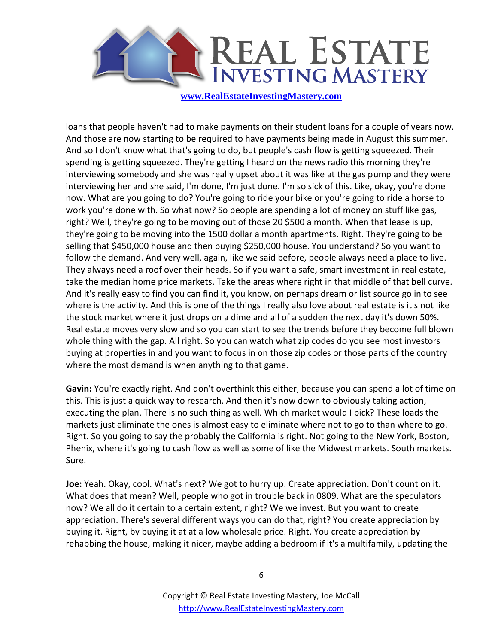

loans that people haven't had to make payments on their student loans for a couple of years now. And those are now starting to be required to have payments being made in August this summer. And so I don't know what that's going to do, but people's cash flow is getting squeezed. Their spending is getting squeezed. They're getting I heard on the news radio this morning they're interviewing somebody and she was really upset about it was like at the gas pump and they were interviewing her and she said, I'm done, I'm just done. I'm so sick of this. Like, okay, you're done now. What are you going to do? You're going to ride your bike or you're going to ride a horse to work you're done with. So what now? So people are spending a lot of money on stuff like gas, right? Well, they're going to be moving out of those 20 \$500 a month. When that lease is up, they're going to be moving into the 1500 dollar a month apartments. Right. They're going to be selling that \$450,000 house and then buying \$250,000 house. You understand? So you want to follow the demand. And very well, again, like we said before, people always need a place to live. They always need a roof over their heads. So if you want a safe, smart investment in real estate, take the median home price markets. Take the areas where right in that middle of that bell curve. And it's really easy to find you can find it, you know, on perhaps dream or list source go in to see where is the activity. And this is one of the things I really also love about real estate is it's not like the stock market where it just drops on a dime and all of a sudden the next day it's down 50%. Real estate moves very slow and so you can start to see the trends before they become full blown whole thing with the gap. All right. So you can watch what zip codes do you see most investors buying at properties in and you want to focus in on those zip codes or those parts of the country where the most demand is when anything to that game.

**Gavin:** You're exactly right. And don't overthink this either, because you can spend a lot of time on this. This is just a quick way to research. And then it's now down to obviously taking action, executing the plan. There is no such thing as well. Which market would I pick? These loads the markets just eliminate the ones is almost easy to eliminate where not to go to than where to go. Right. So you going to say the probably the California is right. Not going to the New York, Boston, Phenix, where it's going to cash flow as well as some of like the Midwest markets. South markets. Sure.

**Joe:** Yeah. Okay, cool. What's next? We got to hurry up. Create appreciation. Don't count on it. What does that mean? Well, people who got in trouble back in 0809. What are the speculators now? We all do it certain to a certain extent, right? We we invest. But you want to create appreciation. There's several different ways you can do that, right? You create appreciation by buying it. Right, by buying it at at a low wholesale price. Right. You create appreciation by rehabbing the house, making it nicer, maybe adding a bedroom if it's a multifamily, updating the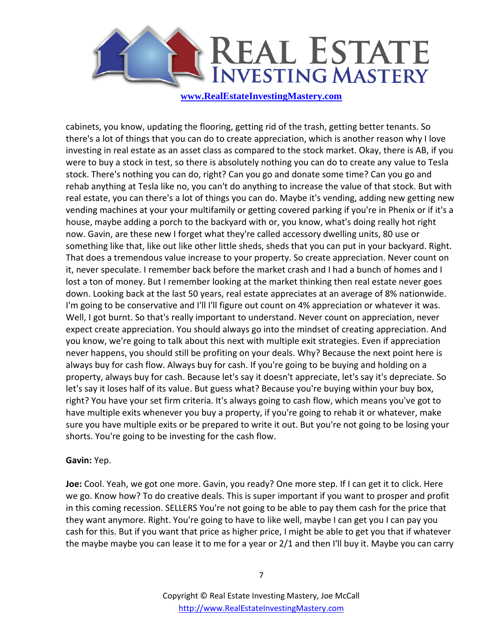

cabinets, you know, updating the flooring, getting rid of the trash, getting better tenants. So there's a lot of things that you can do to create appreciation, which is another reason why I love investing in real estate as an asset class as compared to the stock market. Okay, there is AB, if you were to buy a stock in test, so there is absolutely nothing you can do to create any value to Tesla stock. There's nothing you can do, right? Can you go and donate some time? Can you go and rehab anything at Tesla like no, you can't do anything to increase the value of that stock. But with real estate, you can there's a lot of things you can do. Maybe it's vending, adding new getting new vending machines at your your multifamily or getting covered parking if you're in Phenix or if it's a house, maybe adding a porch to the backyard with or, you know, what's doing really hot right now. Gavin, are these new I forget what they're called accessory dwelling units, 80 use or something like that, like out like other little sheds, sheds that you can put in your backyard. Right. That does a tremendous value increase to your property. So create appreciation. Never count on it, never speculate. I remember back before the market crash and I had a bunch of homes and I lost a ton of money. But I remember looking at the market thinking then real estate never goes down. Looking back at the last 50 years, real estate appreciates at an average of 8% nationwide. I'm going to be conservative and I'll I'll figure out count on 4% appreciation or whatever it was. Well, I got burnt. So that's really important to understand. Never count on appreciation, never expect create appreciation. You should always go into the mindset of creating appreciation. And you know, we're going to talk about this next with multiple exit strategies. Even if appreciation never happens, you should still be profiting on your deals. Why? Because the next point here is always buy for cash flow. Always buy for cash. If you're going to be buying and holding on a property, always buy for cash. Because let's say it doesn't appreciate, let's say it's depreciate. So let's say it loses half of its value. But guess what? Because you're buying within your buy box, right? You have your set firm criteria. It's always going to cash flow, which means you've got to have multiple exits whenever you buy a property, if you're going to rehab it or whatever, make sure you have multiple exits or be prepared to write it out. But you're not going to be losing your shorts. You're going to be investing for the cash flow.

## **Gavin:** Yep.

**Joe:** Cool. Yeah, we got one more. Gavin, you ready? One more step. If I can get it to click. Here we go. Know how? To do creative deals. This is super important if you want to prosper and profit in this coming recession. SELLERS You're not going to be able to pay them cash for the price that they want anymore. Right. You're going to have to like well, maybe I can get you I can pay you cash for this. But if you want that price as higher price, I might be able to get you that if whatever the maybe maybe you can lease it to me for a year or 2/1 and then I'll buy it. Maybe you can carry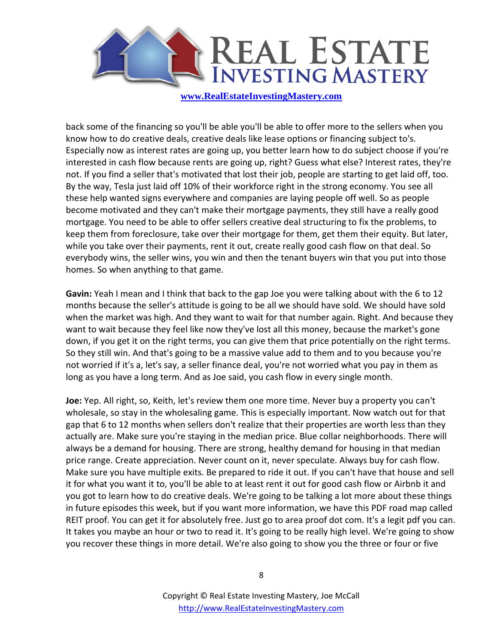

back some of the financing so you'll be able you'll be able to offer more to the sellers when you know how to do creative deals, creative deals like lease options or financing subject to's. Especially now as interest rates are going up, you better learn how to do subject choose if you're interested in cash flow because rents are going up, right? Guess what else? Interest rates, they're not. If you find a seller that's motivated that lost their job, people are starting to get laid off, too. By the way, Tesla just laid off 10% of their workforce right in the strong economy. You see all these help wanted signs everywhere and companies are laying people off well. So as people become motivated and they can't make their mortgage payments, they still have a really good mortgage. You need to be able to offer sellers creative deal structuring to fix the problems, to keep them from foreclosure, take over their mortgage for them, get them their equity. But later, while you take over their payments, rent it out, create really good cash flow on that deal. So everybody wins, the seller wins, you win and then the tenant buyers win that you put into those homes. So when anything to that game.

**Gavin:** Yeah I mean and I think that back to the gap Joe you were talking about with the 6 to 12 months because the seller's attitude is going to be all we should have sold. We should have sold when the market was high. And they want to wait for that number again. Right. And because they want to wait because they feel like now they've lost all this money, because the market's gone down, if you get it on the right terms, you can give them that price potentially on the right terms. So they still win. And that's going to be a massive value add to them and to you because you're not worried if it's a, let's say, a seller finance deal, you're not worried what you pay in them as long as you have a long term. And as Joe said, you cash flow in every single month.

**Joe:** Yep. All right, so, Keith, let's review them one more time. Never buy a property you can't wholesale, so stay in the wholesaling game. This is especially important. Now watch out for that gap that 6 to 12 months when sellers don't realize that their properties are worth less than they actually are. Make sure you're staying in the median price. Blue collar neighborhoods. There will always be a demand for housing. There are strong, healthy demand for housing in that median price range. Create appreciation. Never count on it, never speculate. Always buy for cash flow. Make sure you have multiple exits. Be prepared to ride it out. If you can't have that house and sell it for what you want it to, you'll be able to at least rent it out for good cash flow or Airbnb it and you got to learn how to do creative deals. We're going to be talking a lot more about these things in future episodes this week, but if you want more information, we have this PDF road map called REIT proof. You can get it for absolutely free. Just go to area proof dot com. It's a legit pdf you can. It takes you maybe an hour or two to read it. It's going to be really high level. We're going to show you recover these things in more detail. We're also going to show you the three or four or five